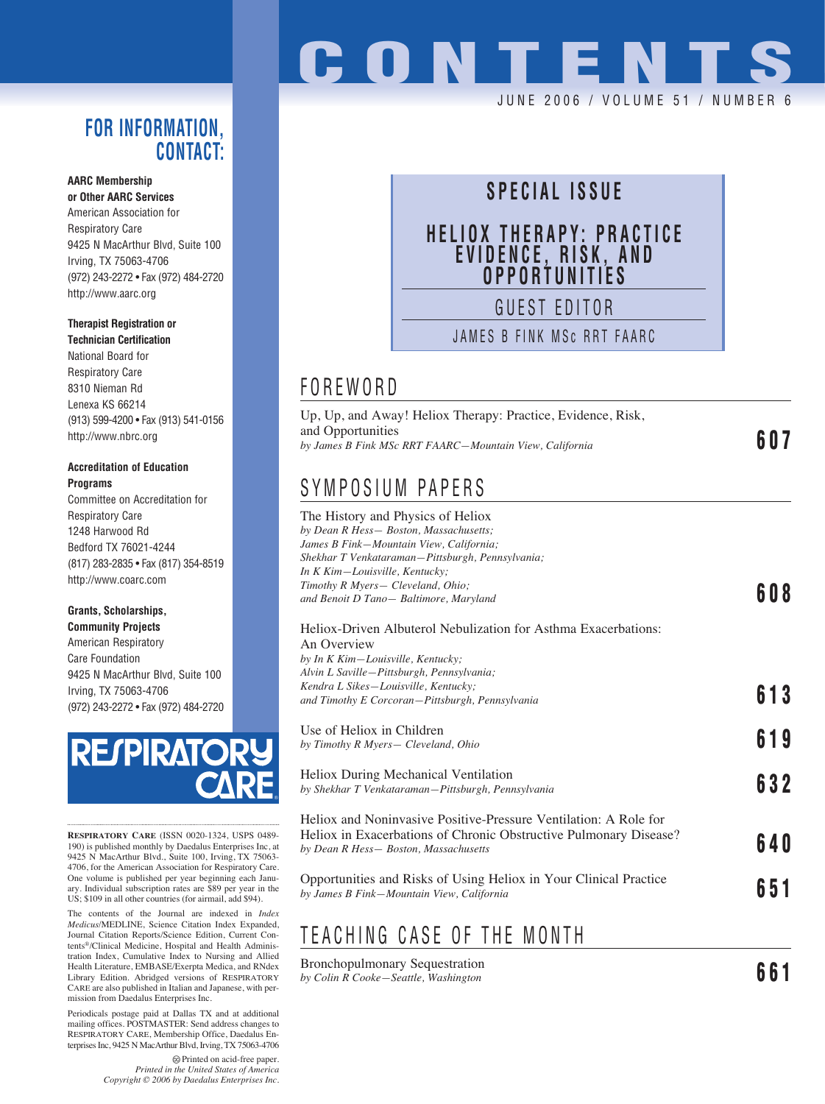#### **FOR INFORMATION, CONTACT:**

#### **AARC Membership**

**or Other AARC Services** American Association for Respiratory Care 9425 N MacArthur Blvd, Suite 100 Irving, TX 75063-4706 (972) 243-2272 • Fax (972) 484-2720 http://www.aarc.org

#### **Therapist Registration or**

**Technician Certification** National Board for Respiratory Care 8310 Nieman Rd Lenexa KS 66214 (913) 599-4200 • Fax (913) 541-0156 http://www.nbrc.org

#### **Accreditation of Education Programs**

Committee on Accreditation for Respiratory Care 1248 Harwood Rd Bedford TX 76021-4244 (817) 283-2835 • Fax (817) 354-8519 http://www.coarc.com

#### **Grants, Scholarships,**

**Community Projects** American Respiratory Care Foundation 9425 N MacArthur Blvd, Suite 100 Irving, TX 75063-4706 (972) 243-2272 • Fax (972) 484-2720



**RESPIRATORY CARE** (ISSN 0020-1324, USPS 0489- 190) is published monthly by Daedalus Enterprises Inc, at 9425 N MacArthur Blvd., Suite 100, Irving, TX 75063- 4706, for the American Association for Respiratory Care. One volume is published per year beginning each January. Individual subscription rates are \$89 per year in the US; \$109 in all other countries (for airmail, add \$94).

The contents of the Journal are indexed in *Index Medicus*/MEDLINE, Science Citation Index Expanded, Journal Citation Reports/Science Edition, Current Contents®/Clinical Medicine, Hospital and Health Administration Index, Cumulative Index to Nursing and Allied Health Literature, EMBASE/Exerpta Medica, and RNdex Library Edition. Abridged versions of RESPIRATORY CARE are also published in Italian and Japanese, with permission from Daedalus Enterprises Inc.

Periodicals postage paid at Dallas TX and at additional mailing offices. POSTMASTER: Send address changes to RESPIRATORY CARE, Membership Office, Daedalus Enterprises Inc, 9425 N MacArthur Blvd, Irving, TX 75063-4706

> Printed on acid-free paper. *Printed in the United States of America Copyright © 2006 by Daedalus Enterprises Inc.*

# **CONTENTS**

#### JUNE 2006 / VOLUME 51 / NUMBER 6

## **SPECIAL ISSUE**

## **HELIOX THERAPY: PRACTICE EVIDENCE, RISK, AND OPPORTUNITIES**

GUEST EDITOR

JAMES B FINK MSc RRT FAARC

#### FOREWORD

Up, Up, and Away! Heliox Therapy: Practice, Evidence, Risk, and Opportunities *by James B Fink MSc RRT FAARC—Mountain View, California* **607**

### SYMPOSIUM PAPERS

The History and Physics of Heliox *by Dean R Hess— Boston, Massachusetts; James B Fink—Mountain View, California; Shekhar T Venkataraman—Pittsburgh, Pennsylvania; In K Kim—Louisville, Kentucky; Timothy R Myers— Cleveland, Ohio; and Benoit D Tano— Baltimore, Maryland* **608** Heliox-Driven Albuterol Nebulization for Asthma Exacerbations: An Overview *by In K Kim—Louisville, Kentucky; Alvin L Saville—Pittsburgh, Pennsylvania; Kendra L Sikes—Louisville, Kentucky; and Timothy E Corcoran—Pittsburgh, Pennsylvania* **613** Use of Heliox in Children *by Timothy R Myers— Cleveland, Ohio* **619** Heliox During Mechanical Ventilation *by Shekhar T Venkataraman—Pittsburgh, Pennsylvania* **632** Heliox and Noninvasive Positive-Pressure Ventilation: A Role for Heliox in Exacerbations of Chronic Obstructive Pulmonary Disease? *by Dean R Hess— Boston, Massachusetts* **640** Opportunities and Risks of Using Heliox in Your Clinical Practice *by James B Fink—Mountain View, California* **651**

## TEACHING CASE OF THE MONTH

Bronchopulmonary Sequestration *by Colin R Cooke—Seattle, Washington* **661**